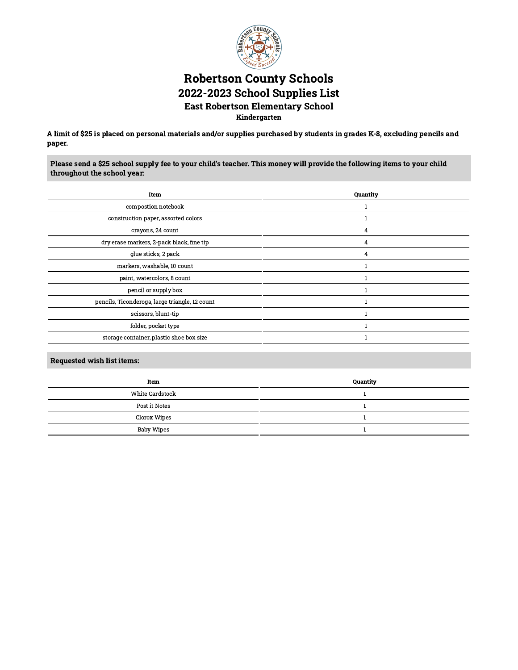

# Robertson County Schools 2022-2023 School Supplies List East Robertson Elementary School Kindergarten

A limit of \$25 is placed on personal materials and/or supplies purchased by students in grades K-8, excluding pencils and paper.

Please send a \$25 school supply fee to your child's teacher. This money will provide the following items to your child throughout the school year:

| Quantity |
|----------|
|          |
|          |
| 4        |
| 4        |
| 4        |
|          |
|          |
|          |
|          |
|          |
|          |
|          |
|          |

| Item            | Quantity |
|-----------------|----------|
| White Cardstock |          |
| Post it Notes   |          |
| Clorox Wipes    |          |
| Baby Wipes      |          |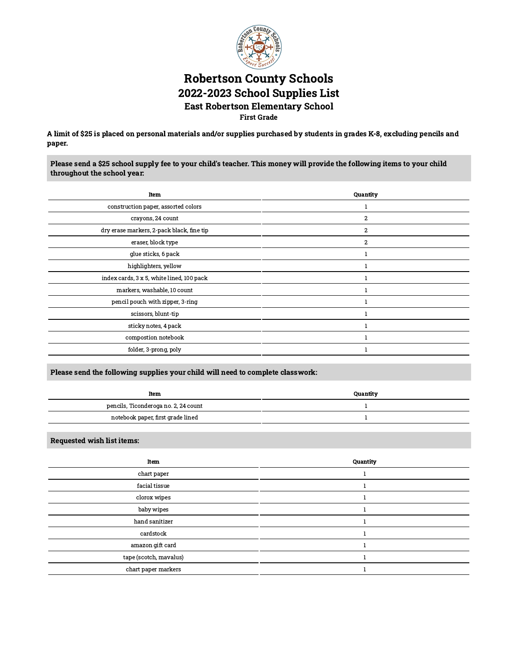

## Robertson County Schools 2022-2023 School Supplies List East Robertson Elementary School First Grade

A limit of \$25 is placed on personal materials and/or supplies purchased by students in grades K-8, excluding pencils and paper.

Please send a \$25 school supply fee to your child's teacher. This money will provide the following items to your child throughout the school year:

| Item                                      | Quantity       |
|-------------------------------------------|----------------|
| construction paper, assorted colors       |                |
| crayons, 24 count                         | $\overline{2}$ |
| dry erase markers, 2-pack black, fine tip | 2              |
| eraser, block type                        | $\overline{2}$ |
| glue sticks, 6 pack                       |                |
| highlighters, yellow                      |                |
| index cards, 3 x 5, white lined, 100 pack |                |
| markers, washable, 10 count               |                |
| pencil pouch with zipper, 3-ring          |                |
| scissors, blunt-tip                       |                |
| sticky notes, 4 pack                      |                |
| compostion notebook                       |                |
| folder, 3-prong, poly                     |                |
|                                           |                |

### Please send the following supplies your child will need to complete classwork:

| Item                                 | Quantity |
|--------------------------------------|----------|
| pencils, Ticonderoga no. 2, 24 count |          |
| notebook paper, first grade lined    |          |

| Item                   | Quantity |
|------------------------|----------|
| chart paper            |          |
| facial tissue          |          |
| clorox wipes           |          |
| baby wipes             |          |
| hand sanitizer         |          |
| cardstock              |          |
| amazon gift card       |          |
| tape (scotch, mavalus) |          |
| chart paper markers    |          |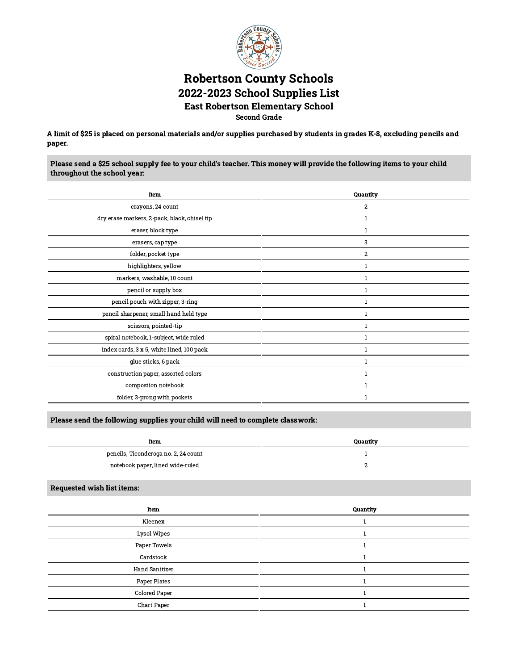

## Robertson County Schools 2022-2023 School Supplies List East Robertson Elementary School Second Grade

A limit of \$25 is placed on personal materials and/or supplies purchased by students in grades K-8, excluding pencils and paper.

Please send a \$25 school supply fee to your child's teacher. This money will provide the following items to your child throughout the school year:

| Item                                         | Quantity                |
|----------------------------------------------|-------------------------|
| crayons, 24 count                            | $\overline{\mathbf{c}}$ |
| dry erase markers, 2-pack, black, chisel tip | 1                       |
| eraser, block type                           | 1                       |
| erasers, cap type                            | 3                       |
| folder, pocket type                          | $\overline{c}$          |
| highlighters, yellow                         | $\mathbf{1}$            |
| markers, washable, 10 count                  | 1                       |
| pencil or supply box                         |                         |
| pencil pouch with zipper, 3-ring             |                         |
| pencil sharpener, small hand held type       |                         |
| scissors, pointed-tip                        | 1                       |
| spiral notebook, 1-subject, wide ruled       | 1                       |
| index cards, 3 x 5, white lined, 100 pack    | 1                       |
| glue sticks, 6 pack                          | $\mathbf{1}$            |
| construction paper, assorted colors          |                         |
| compostion notebook                          | $\mathbf{1}$            |
| folder, 3-prong with pockets                 |                         |

### Please send the following supplies your child will need to complete classwork:

| Item                                 | Quantity |
|--------------------------------------|----------|
| pencils, Ticonderoga no. 2, 24 count |          |
| notebook paper, lined wide-ruled     |          |

| Item                  | Quantity |
|-----------------------|----------|
| Kleenex               |          |
| Lysol Wipes           |          |
| Paper Towels          |          |
| Cardstock             |          |
| <b>Hand Sanitizer</b> |          |
| Paper Plates          |          |
| Colored Paper         |          |
| Chart Paper           |          |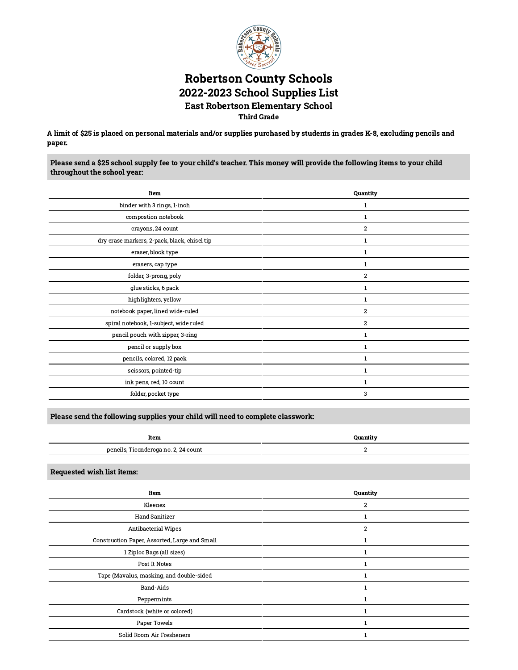

### Robertson County Schools 2022-2023 School Supplies List East Robertson Elementary School Third Grade

A limit of \$25 is placed on personal materials and/or supplies purchased by students in grades K-8, excluding pencils and paper.

Please send a \$25 school supply fee to your child's teacher. This money will provide the following items to your child throughout the school year:

| Quantity         |
|------------------|
| 1                |
| 1                |
| $\boldsymbol{2}$ |
| $\mathbf{1}$     |
| $\mathbf{1}$     |
| 1                |
| $\boldsymbol{2}$ |
|                  |
| 1                |
| $\boldsymbol{2}$ |
| $\overline{2}$   |
| 1                |
| $\mathbf{1}$     |
| $\mathbf{1}$     |
| 1                |
|                  |
| 3                |
|                  |

Please send the following supplies your child will need to complete classwork:

| Item                                       | Quantit |
|--------------------------------------------|---------|
| pencils,<br>s, Ticonderoga no. 2, 24 count |         |

Requested wish list items:

 $\overline{a}$ 

| Item                                          | Quantity       |
|-----------------------------------------------|----------------|
| Kleenex                                       | 2              |
| <b>Hand Sanitizer</b>                         |                |
| Antibacterial Wipes                           | $\overline{2}$ |
| Construction Paper, Assorted, Large and Small |                |
| 1 Ziploc Bags (all sizes)                     |                |
| Post It Notes                                 |                |
| Tape (Mavalus, masking, and double-sided      |                |
| Band-Aids                                     |                |
| Peppermints                                   |                |
| Cardstock (white or colored)                  |                |
| Paper Towels                                  |                |
| Solid Room Air Fresheners                     |                |